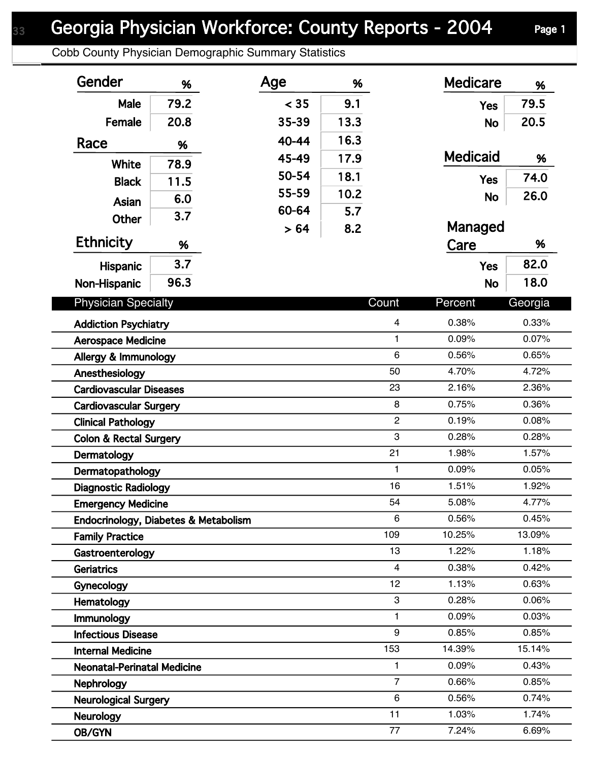Cobb County Physician Demographic Summary Statistics

| Gender                               | %    | Age       | %    |                 | <b>Medicare</b> | %       |
|--------------------------------------|------|-----------|------|-----------------|-----------------|---------|
| Male                                 | 79.2 | < 35      | 9.1  |                 | <b>Yes</b>      | 79.5    |
| Female                               | 20.8 | 35-39     | 13.3 |                 | <b>No</b>       | 20.5    |
| Race                                 | %    | $40 - 44$ | 16.3 |                 |                 |         |
|                                      |      | 45-49     | 17.9 |                 | <b>Medicaid</b> | %       |
| <b>White</b>                         | 78.9 | 50-54     | 18.1 |                 |                 | 74.0    |
| <b>Black</b>                         | 11.5 | 55-59     | 10.2 |                 | <b>Yes</b>      | 26.0    |
| <b>Asian</b>                         | 6.0  | 60-64     | 5.7  |                 | <b>No</b>       |         |
| Other                                | 3.7  | > 64      | 8.2  |                 | Managed         |         |
| <b>Ethnicity</b>                     | %    |           |      |                 | Care            | %       |
| <b>Hispanic</b>                      | 3.7  |           |      |                 | <b>Yes</b>      | 82.0    |
| Non-Hispanic                         | 96.3 |           |      |                 | <b>No</b>       | 18.0    |
|                                      |      |           |      |                 |                 |         |
| <b>Physician Specialty</b>           |      |           |      | Count           | Percent         | Georgia |
| <b>Addiction Psychiatry</b>          |      |           |      | 4               | 0.38%           | 0.33%   |
| <b>Aerospace Medicine</b>            |      |           |      | $\mathbf{1}$    | 0.09%           | 0.07%   |
| Allergy & Immunology                 |      |           |      | $6\phantom{1}6$ | 0.56%           | 0.65%   |
| Anesthesiology                       |      |           |      | 50              | 4.70%           | 4.72%   |
| <b>Cardiovascular Diseases</b>       |      |           |      | 23              | 2.16%           | 2.36%   |
| <b>Cardiovascular Surgery</b>        |      |           |      | 8               | 0.75%           | 0.36%   |
| <b>Clinical Pathology</b>            |      |           |      | $\overline{2}$  | 0.19%           | 0.08%   |
| <b>Colon &amp; Rectal Surgery</b>    |      |           |      | 3               | 0.28%           | 0.28%   |
| Dermatology                          |      |           |      | 21              | 1.98%           | 1.57%   |
| Dermatopathology                     |      |           |      | 1               | 0.09%           | 0.05%   |
| <b>Diagnostic Radiology</b>          |      |           |      | 16              | 1.51%           | 1.92%   |
| <b>Emergency Medicine</b>            |      |           |      | 54              | 5.08%           | 4.77%   |
| Endocrinology, Diabetes & Metabolism |      |           |      | 6               | 0.56%           | 0.45%   |
| <b>Family Practice</b>               |      |           |      | 109             | 10.25%          | 13.09%  |
| Gastroenterology                     |      |           |      | 13              | 1.22%           | 1.18%   |
| <b>Geriatrics</b>                    |      |           |      | $\overline{4}$  | 0.38%           | 0.42%   |
| Gynecology                           |      |           |      | 12              | 1.13%           | 0.63%   |
| Hematology                           |      |           |      | 3               | 0.28%           | 0.06%   |
| Immunology                           |      |           |      | 1               | 0.09%           | 0.03%   |
| <b>Infectious Disease</b>            |      |           |      | 9               | 0.85%           | 0.85%   |
| <b>Internal Medicine</b>             |      |           |      | 153             | 14.39%          | 15.14%  |
| <b>Neonatal-Perinatal Medicine</b>   |      |           |      | 1               | 0.09%           | 0.43%   |
| <b>Nephrology</b>                    |      |           |      | $\overline{7}$  | 0.66%           | 0.85%   |
| <b>Neurological Surgery</b>          |      |           |      | $\,6\,$         | 0.56%           | 0.74%   |
| <b>Neurology</b>                     |      |           |      | 11              | 1.03%           | 1.74%   |
| OB/GYN                               |      |           |      | 77              | 7.24%           | 6.69%   |